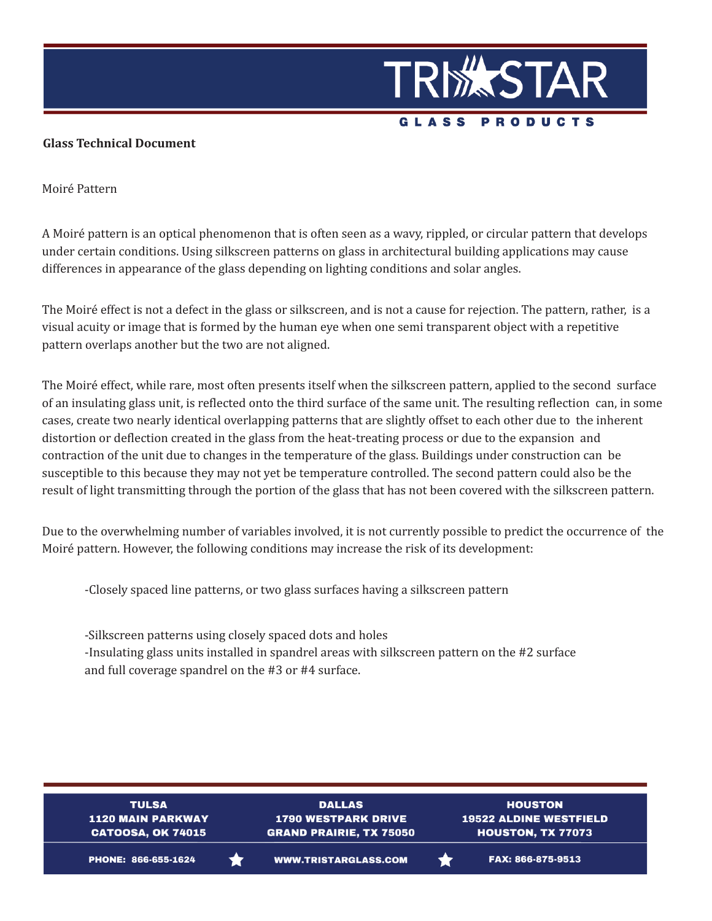

## **Glass Technical Document**

Moiré Pattern

A Moiré pattern is an optical phenomenon that is often seen as a wavy, rippled, or circular pattern that develops under certain conditions. Using silkscreen patterns on glass in architectural building applications may cause differences in appearance of the glass depending on lighting conditions and solar angles.

The Moiré effect is not a defect in the glass or silkscreen, and is not a cause for rejection. The pattern, rather, is a visual acuity or image that is formed by the human eye when one semi transparent object with a repetitive pattern overlaps another but the two are not aligned.

The Moiré effect, while rare, most often presents itself when the silkscreen pattern, applied to the second surface of an insulating glass unit, is reflected onto the third surface of the same unit. The resulting reflection can, in some cases, create two nearly identical overlapping patterns that are slightly offset to each other due to the inherent distortion or deflection created in the glass from the heat-treating process or due to the expansion and contraction of the unit due to changes in the temperature of the glass. Buildings under construction can be susceptible to this because they may not yet be temperature controlled. The second pattern could also be the result of light transmitting through the portion of the glass that has not been covered with the silkscreen pattern.

Due to the overwhelming number of variables involved, it is not currently possible to predict the occurrence of the Moiré pattern. However, the following conditions may increase the risk of its development:

-Closely spaced line patterns, or two glass surfaces having a silkscreen pattern

-Silkscreen patterns using closely spaced dots and holes -Insulating glass units installed in spandrel areas with silkscreen pattern on the #2 surface and full coverage spandrel on the #3 or #4 surface.